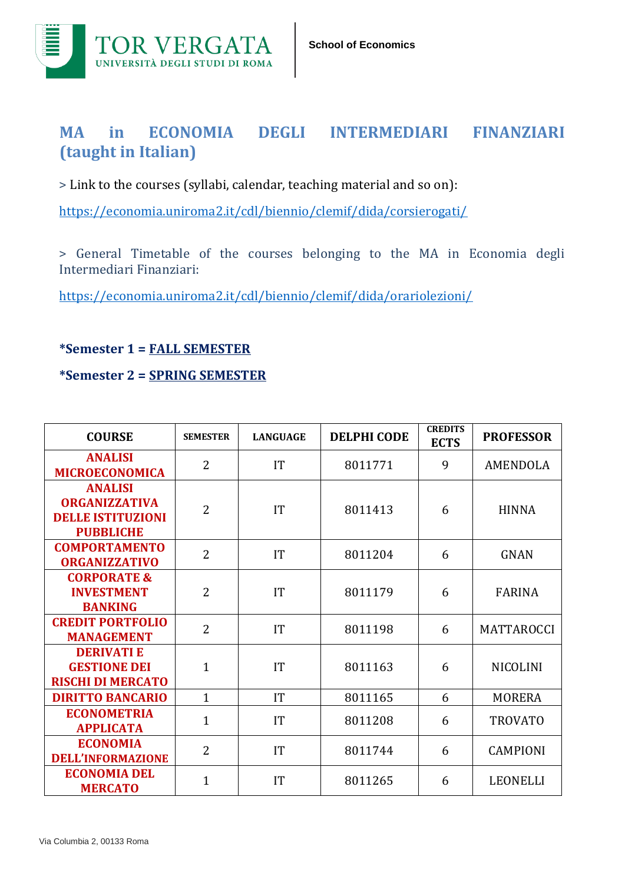

## **MA in ECONOMIA DEGLI INTERMEDIARI FINANZIARI (taught in Italian)**

> Link to the courses (syllabi, calendar, teaching material and so on):

<https://economia.uniroma2.it/cdl/biennio/clemif/dida/corsierogati/>

> General Timetable of the courses belonging to the MA in Economia degli Intermediari Finanziari:

<https://economia.uniroma2.it/cdl/biennio/clemif/dida/orariolezioni/>

**\*Semester 1 = FALL SEMESTER**

**\*Semester 2 = SPRING SEMESTER**

| <b>COURSE</b>                                                                          | <b>SEMESTER</b> | <b>LANGUAGE</b> | <b>DELPHI CODE</b> | <b>CREDITS</b><br><b>ECTS</b> | <b>PROFESSOR</b>  |
|----------------------------------------------------------------------------------------|-----------------|-----------------|--------------------|-------------------------------|-------------------|
| <b>ANALISI</b><br><b>MICROECONOMICA</b>                                                | $\overline{2}$  | IT              | 8011771            | 9                             | AMENDOLA          |
| <b>ANALISI</b><br><b>ORGANIZZATIVA</b><br><b>DELLE ISTITUZIONI</b><br><b>PUBBLICHE</b> | $\overline{2}$  | IT              | 8011413            | 6                             | <b>HINNA</b>      |
| <b>COMPORTAMENTO</b><br><b>ORGANIZZATIVO</b>                                           | $\overline{2}$  | IT              | 8011204            | 6                             | <b>GNAN</b>       |
| <b>CORPORATE &amp;</b><br><b>INVESTMENT</b><br><b>BANKING</b>                          | $\overline{2}$  | IT              | 8011179            | 6                             | <b>FARINA</b>     |
| <b>CREDIT PORTFOLIO</b><br><b>MANAGEMENT</b>                                           | $\overline{2}$  | IT              | 8011198            | 6                             | <b>MATTAROCCI</b> |
| <b>DERIVATIE</b><br><b>GESTIONE DEI</b><br><b>RISCHI DI MERCATO</b>                    | 1               | IT              | 8011163            | 6                             | <b>NICOLINI</b>   |
| <b>DIRITTO BANCARIO</b>                                                                | $\overline{1}$  | IT              | 8011165            | 6                             | <b>MORERA</b>     |
| <b>ECONOMETRIA</b><br><b>APPLICATA</b>                                                 | $\mathbf{1}$    | IT              | 8011208            | 6                             | <b>TROVATO</b>    |
| <b>ECONOMIA</b><br><b>DELL'INFORMAZIONE</b>                                            | 2               | IT              | 8011744            | 6                             | <b>CAMPIONI</b>   |
| <b>ECONOMIA DEL</b><br><b>MERCATO</b>                                                  | $\mathbf 1$     | IT              | 8011265            | 6                             | <b>LEONELLI</b>   |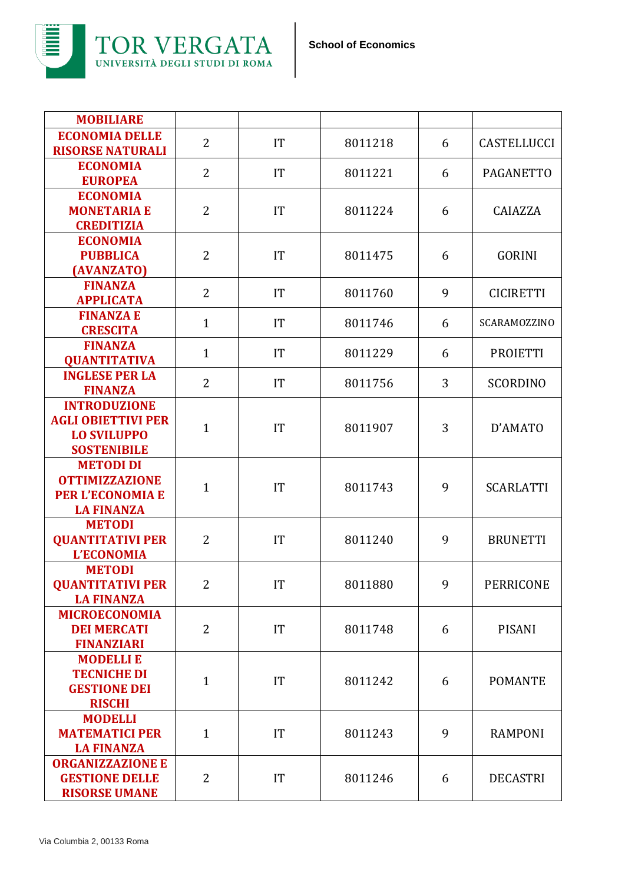

| <b>MOBILIARE</b>                                                                             |                |    |         |   |                    |
|----------------------------------------------------------------------------------------------|----------------|----|---------|---|--------------------|
| <b>ECONOMIA DELLE</b><br><b>RISORSE NATURALI</b>                                             | $\overline{2}$ | IT | 8011218 | 6 | <b>CASTELLUCCI</b> |
| <b>ECONOMIA</b><br><b>EUROPEA</b>                                                            | 2              | IT | 8011221 | 6 | <b>PAGANETTO</b>   |
| <b>ECONOMIA</b><br><b>MONETARIA E</b><br><b>CREDITIZIA</b>                                   | $\overline{2}$ | IT | 8011224 | 6 | CAIAZZA            |
| <b>ECONOMIA</b><br><b>PUBBLICA</b><br>(AVANZATO)                                             | $\overline{2}$ | IT | 8011475 | 6 | <b>GORINI</b>      |
| <b>FINANZA</b><br><b>APPLICATA</b>                                                           | $\overline{2}$ | IT | 8011760 | 9 | <b>CICIRETTI</b>   |
| <b>FINANZA E</b><br><b>CRESCITA</b>                                                          | $\mathbf{1}$   | IT | 8011746 | 6 | SCARAMOZZINO       |
| <b>FINANZA</b><br><b>QUANTITATIVA</b>                                                        | $\mathbf{1}$   | IT | 8011229 | 6 | <b>PROIETTI</b>    |
| <b>INGLESE PER LA</b><br><b>FINANZA</b>                                                      | $\overline{2}$ | IT | 8011756 | 3 | <b>SCORDINO</b>    |
| <b>INTRODUZIONE</b><br><b>AGLI OBIETTIVI PER</b><br><b>LO SVILUPPO</b><br><b>SOSTENIBILE</b> | $\mathbf{1}$   | IT | 8011907 | 3 | D'AMATO            |
| <b>METODI DI</b><br><b>OTTIMIZZAZIONE</b><br><b>PER L'ECONOMIA E</b><br><b>LA FINANZA</b>    | $\mathbf{1}$   | IT | 8011743 | 9 | <b>SCARLATTI</b>   |
| <b>METODI</b><br><b>QUANTITATIVI PER</b><br><b>L'ECONOMIA</b>                                | 2              | IT | 8011240 | 9 | <b>BRUNETTI</b>    |
| <b>METODI</b><br><b>QUANTITATIVI PER</b><br><b>LA FINANZA</b>                                | $\overline{2}$ | IT | 8011880 | 9 | <b>PERRICONE</b>   |
| <b>MICROECONOMIA</b><br><b>DEI MERCATI</b><br><b>FINANZIARI</b>                              | $\overline{2}$ | IT | 8011748 | 6 | <b>PISANI</b>      |
| <b>MODELLI E</b><br><b>TECNICHE DI</b><br><b>GESTIONE DEI</b><br><b>RISCHI</b>               | $\mathbf{1}$   | IT | 8011242 | 6 | <b>POMANTE</b>     |
| <b>MODELLI</b><br><b>MATEMATICI PER</b><br><b>LA FINANZA</b>                                 | $\mathbf{1}$   | IT | 8011243 | 9 | <b>RAMPONI</b>     |
| <b>ORGANIZZAZIONE E</b><br><b>GESTIONE DELLE</b><br><b>RISORSE UMANE</b>                     | $\overline{2}$ | IT | 8011246 | 6 | <b>DECASTRI</b>    |